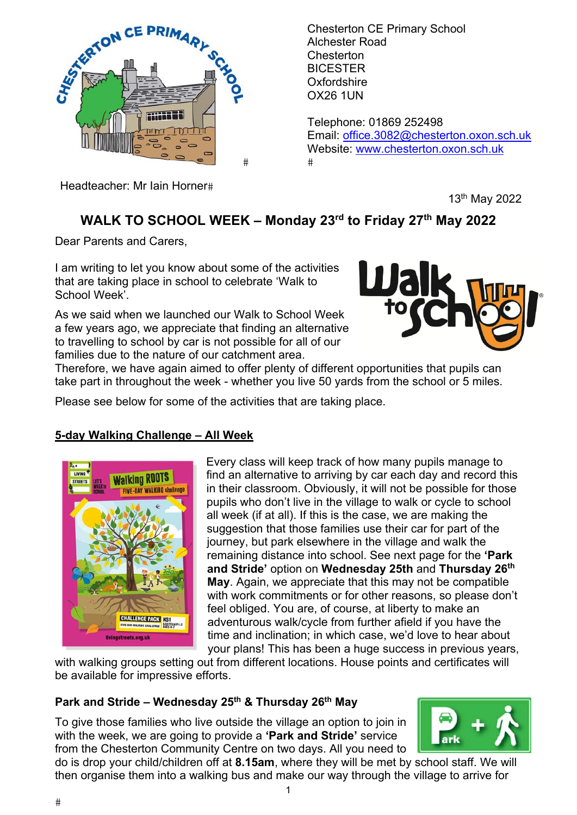

Chesterton CE Primary School Alchester Road **Chesterton BICESTER Oxfordshire** OX26 1UN

Telephone: 01869 252498 Email: office.3082@chesterton.oxon.sch.uk Website: www.chesterton.oxon.sch.uk  $#$ 

Headteacher: Mr Iain Horner

13th May 2022

## WALK TO SCHOOL WEEK - Monday 23<sup>rd</sup> to Friday 27<sup>th</sup> May 2022

Dear Parents and Carers,

I am writing to let you know about some of the activities that are taking place in school to celebrate 'Walk to School Week'.

As we said when we launched our Walk to School Week a few years ago, we appreciate that finding an alternative to travelling to school by car is not possible for all of our families due to the nature of our catchment area.



Therefore, we have again aimed to offer plenty of different opportunities that pupils can take part in throughout the week - whether you live 50 yards from the school or 5 miles.

Please see below for some of the activities that are taking place.

#### **5-day Walking Challenge – All Week**



Every class will keep track of how many pupils manage to find an alternative to arriving by car each day and record this in their classroom. Obviously, it will not be possible for those pupils who don't live in the village to walk or cycle to school all week (if at all). If this is the case, we are making the suggestion that those families use their car for part of the journey, but park elsewhere in the village and walk the remaining distance into school. See next page for the **'Park and Stride'** option on **Wednesday 25th** and **Thursday 26th May**. Again, we appreciate that this may not be compatible with work commitments or for other reasons, so please don't feel obliged. You are, of course, at liberty to make an adventurous walk/cycle from further afield if you have the time and inclination; in which case, we'd love to hear about your plans! This has been a huge success in previous years,

with walking groups setting out from different locations. House points and certificates will be available for impressive efforts.

### Park and Stride – Wednesday 25<sup>th</sup> & Thursday 26<sup>th</sup> May

To give those families who live outside the village an option to join in with the week, we are going to provide a **'Park and Stride'** service from the Chesterton Community Centre on two days. All you need to



do is drop your child/children off at **8.15am**, where they will be met by school staff. We will then organise them into a walking bus and make our way through the village to arrive for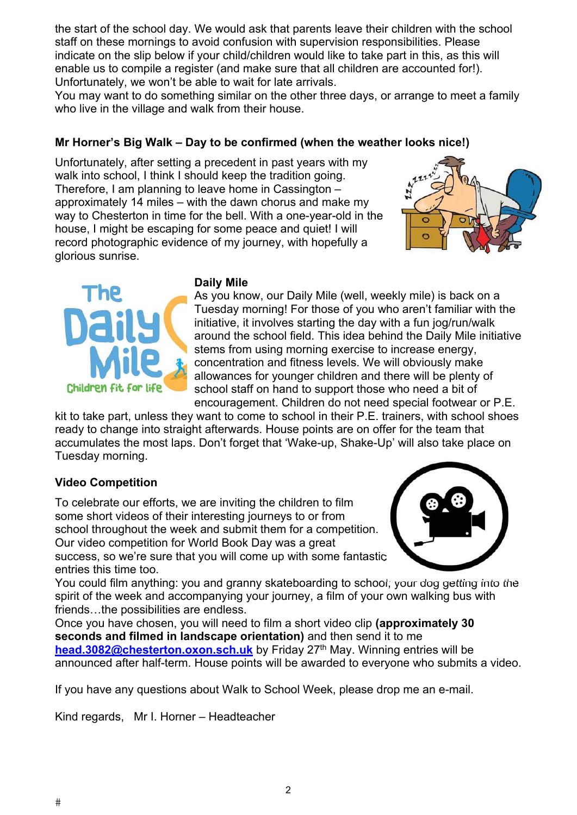the start of the school day. We would ask that parents leave their children with the school staff on these mornings to avoid confusion with supervision responsibilities. Please indicate on the slip below if your child/children would like to take part in this, as this will enable us to compile a register (and make sure that all children are accounted for!). Unfortunately, we won't be able to wait for late arrivals.

You may want to do something similar on the other three days, or arrange to meet a family who live in the village and walk from their house.

## **Mr Horner's Big Walk – Day to be confirmed (when the weather looks nice!)**

Unfortunately, after setting a precedent in past years with my walk into school. I think I should keep the tradition going. Therefore, I am planning to leave home in Cassington – approximately 14 miles – with the dawn chorus and make my way to Chesterton in time for the bell. With a one-year-old in the house, I might be escaping for some peace and quiet! I will record photographic evidence of my journey, with hopefully a glorious sunrise.





#### **Daily Mile**

As you know, our Daily Mile (well, weekly mile) is back on a Tuesday morning! For those of you who aren't familiar with the initiative, it involves starting the day with a fun jog/run/walk around the school field. This idea behind the Daily Mile initiative stems from using morning exercise to increase energy, concentration and fitness levels. We will obviously make allowances for younger children and there will be plenty of school staff on hand to support those who need a bit of encouragement. Children do not need special footwear or P.E.

kit to take part, unless they want to come to school in their P.E. trainers, with school shoes ready to change into straight afterwards. House points are on offer for the team that accumulates the most laps. Don't forget that 'Wake-up, Shake-Up' will also take place on Tuesday morning.

### **Video Competition**

 $#$ 

To celebrate our efforts, we are inviting the children to film some short videos of their interesting journeys to or from school throughout the week and submit them for a competition. Our video competition for World Book Day was a great success, so we're sure that you will come up with some fantastic entries this time too.



You could film anything: you and granny skateboarding to school; your dog getting into the spirit of the week and accompanying your journey, a film of your own walking bus with friends…the possibilities are endless.

Once you have chosen, you will need to film a short video clip **(approximately 30 seconds and filmed in landscape orientation)** and then send it to me **head.3082@chesterton.oxon.sch.uk** by Friday 27<sup>th</sup> May. Winning entries will be announced after half-term. House points will be awarded to everyone who submits a video.

If you have any questions about Walk to School Week, please drop me an e-mail.

Kind regards, Mr I. Horner – Headteacher